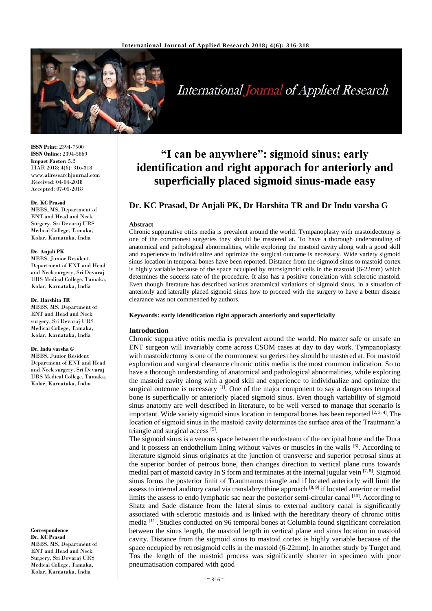

# International Journal of Applied Research

**ISSN Print:** 2394-7500 **ISSN Online:** 2394-5869 **Impact Factor:** 5.2 IJAR 2018; 4(6): 316-318 www.allresearchjournal.com Received: 04-04-2018 Accepted: 07-05-2018

### **Dr. KC Prasad**

MBBS, MS, Department of ENT and Head and Neck Surgery, Sri Devaraj URS Medical College, Tamaka, Kolar, Karnataka, India

### **Dr. Anjali PK**

MBBS, Junior Resident, Department of ENT and Head and Neck surgery, Sri Devaraj URS Medical College, Tamaka, Kolar, Karnataka, India

### **Dr. Harshita TR**

MBBS, MS, Department of ENT and Head and Neck surgery, Sri Devaraj URS Medical College, Tamaka, Kolar, Karnataka, India

### **Dr. Indu varsha G**

MBBS, Junior Resident Department of ENT and Head and Neck surgery, Sri Devaraj URS Medical College, Tamaka, Kolar, Karnataka, India

#### **Correspondence Dr. KC Prasad**

MBBS, MS, Department of ENT and Head and Neck Surgery, Sri Devaraj URS Medical College, Tamaka, Kolar, Karnataka, India

## **"I can be anywhere": sigmoid sinus; early identification and right apporach for anteriorly and superficially placed sigmoid sinus-made easy**

### **Dr. KC Prasad, Dr Anjali PK, Dr Harshita TR and Dr Indu varsha G**

### **Abstract**

Chronic suppurative otitis media is prevalent around the world. Tympanoplasty with mastoidectomy is one of the commonest surgeries they should be mastered at. To have a thorough understanding of anatomical and pathological abnormalities, while exploring the mastoid cavity along with a good skill and experience to individualize and optimize the surgical outcome is necessary. Wide variety sigmoid sinus location in temporal bones have been reported. Distance from the sigmoid sinus to mastoid cortex is highly variable because of the space occupied by retrosigmoid cells in the mastoid (6-22mm) which determines the success rate of the procedure. It also has a positive correlation with sclerotic mastoid. Even though literature has described various anatomical variations of sigmoid sinus, in a situation of anteriorly and laterally placed sigmoid sinus how to proceed with the surgery to have a better disease clearance was not commended by authors.

### **Keywords: early identification right apporach anteriorly and superficially**

### **Introduction**

Chronic suppurative otitis media is prevalent around the world. No matter safe or unsafe an ENT surgeon will invariably come across CSOM cases at day to day work. Tympanoplasty with mastoidectomy is one of the commonest surgeries they should be mastered at. For mastoid exploration and surgical clearance chronic otitis media is the most common indication. So to have a thorough understanding of anatomical and pathological abnormalities, while exploring the mastoid cavity along with a good skill and experience to individualize and optimize the surgical outcome is necessary  $^{[1]}$ . One of the major component to say a dangerous temporal bone is superficially or anteriorly placed sigmoid sinus. Even though variability of sigmoid sinus anatomy are well described in literature, to be well versed to manage that scenario is important. Wide variety sigmoid sinus location in temporal bones has been reported  $[2,3,4]$ . The location of sigmoid sinus in the mastoid cavity determines the surface area of the Trautmann'a triangle and surgical access [5].

The sigmoid sinus is a venous space between the endosteam of the occipital bone and the Dura and it possess an endothelium lining without valves or muscles in the walls <sup>[6]</sup>. According to literature sigmoid sinus originates at the junction of transverse and superior petrosal sinus at the superior border of petrous bone, then changes direction to vertical plane runs towards medial part of mastoid cavity In S form and terminates at the internal jugular vein  $[7, 8]$ . Sigmoid sinus forms the posterior limit of Trautmanns triangle and if located anteriorly will limit the assess to internal auditory canal via translabrynthine approach [8, 9] if located anterior or medial limits the assess to endo lymphatic sac near the posterior semi-circular canal [10]. According to Shatz and Sade distance from the lateral sinus to external auditory canal is significantly associated with sclerotic mastoids and is linked with the hereditary theory of chronic otitis media<sup>[11]</sup>. Studies conducted on 96 temporal bones at Columbia found significant correlation between the sinus length, the mastoid length in vertical plane and sinus location in mastoid cavity. Distance from the sigmoid sinus to mastoid cortex is highly variable because of the space occupied by retrosigmoid cells in the mastoid (6-22mm). In another study by Turget and Tos the length of the mastoid process was significantly shorter in specimen with poor pneumatisation compared with good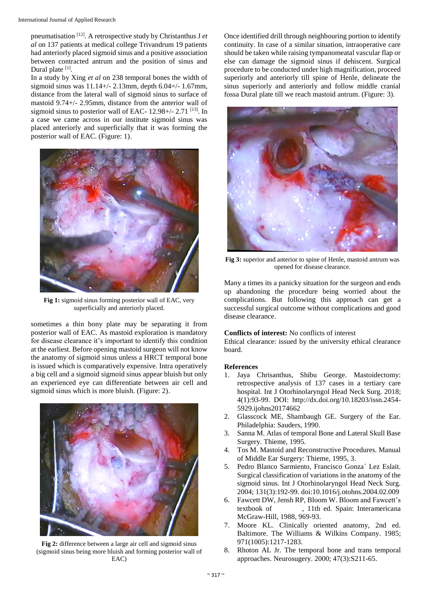pneumatisation [12]. A retrospective study by Christanthus J *et al* on 137 patients at medical college Trivandrum 19 patients had anteriorly placed sigmoid sinus and a positive association between contracted antrum and the position of sinus and Dural plate [1].

In a study by Xing *et al* on 238 temporal bones the width of sigmoid sinus was  $11.14+/2.13$ mm, depth  $6.04=/-1.67$ mm, distance from the lateral wall of sigmoid sinus to surface of mastoid 9.74+/- 2.95mm, distance from the anterior wall of sigmoid sinus to posterior wall of EAC- 12.98+/- 2.71 <sup>[13]</sup>. In a case we came across in our institute sigmoid sinus was placed anteriorly and superficially that it was forming the posterior wall of EAC. (Figure: 1).



**Fig 1:** sigmoid sinus forming posterior wall of EAC, very superficially and anteriorly placed.

sometimes a thin bony plate may be separating it from posterior wall of EAC. As mastoid exploration is mandatory for disease clearance it's important to identify this condition at the earliest. Before opening mastoid surgeon will not know the anatomy of sigmoid sinus unless a HRCT temporal bone is issued which is comparatively expensive. Intra operatively a big cell and a sigmoid sigmoid sinus appear bluish but only an experienced eye can differentiate between air cell and sigmoid sinus which is more bluish. (Figure: 2).



**Fig 2:** difference between a large air cell and sigmoid sinus (sigmoid sinus being more bluish and forming posterior wall of EAC)

Once identified drill through neighbouring portion to identify continuity. In case of a similar situation, intraoperative care should be taken while raising tympanomeatal vascular flap or else can damage the sigmoid sinus if dehiscent. Surgical procedure to be conducted under high magnification, proceed superiorly and anteriorly till spine of Henle, delineate the sinus superiorly and anteriorly and follow middle cranial fossa Dural plate till we reach mastoid antrum. (Figure: 3).



**Fig 3:** superior and anterior to spine of Henle, mastoid antrum was opened for disease clearance.

Many a times its a panicky situation for the surgeon and ends up abandoning the procedure being worried about the complications. But following this approach can get a successful surgical outcome without complications and good disease clearance.

### **Conflicts of interest:** No conflicts of interest

Ethical clearance: issued by the university ethical clearance board.

### **References**

- 1. Jaya Chrisanthus, Shibu George. Mastoidectomy: retrospective analysis of 137 cases in a tertiary care hospital. Int J Otorhinolaryngol Head Neck Surg. 2018; 4(1):93-99. DOI: http://dx.doi.org/10.18203/issn.2454- 5929.ijohns20174662
- 2. Glasscock ME, Shambaugh GE. Surgery of the Ear. Philadelphia: Sauders, 1990.
- 3. Sanna M. Atlas of temporal Bone and Lateral Skull Base Surgery. Thieme, 1995.
- 4. Tos M. Mastoid and Reconstructive Procedures. Manual of Middle Ear Surgery: Thieme, 1995, 3.
- 5. Pedro Blanco Sarmiento, Francisco Gonza´ Lez Eslait. Surgical classification of variations in the anatomy of the sigmoid sinus. Int J Otorhinolaryngol Head Neck Surg. 2004; 131(3):192-99. doi:10.1016/j.otohns.2004.02.009
- 6. Fawcett DW, Jensh RP, Bloom W. Bloom and Fawcett's textbook of , 11th ed. Spain: Interamericana McGraw-Hill, 1988, 969-93.
- 7. Moore KL. Clinically oriented anatomy, 2nd ed. Baltimore. The Williams & Wilkins Company. 1985; 971(1005):1217-1283.
- 8. Rhoton AL Jr. The temporal bone and trans temporal approaches. Neurosugery. 2000; 47(3):S211-65.